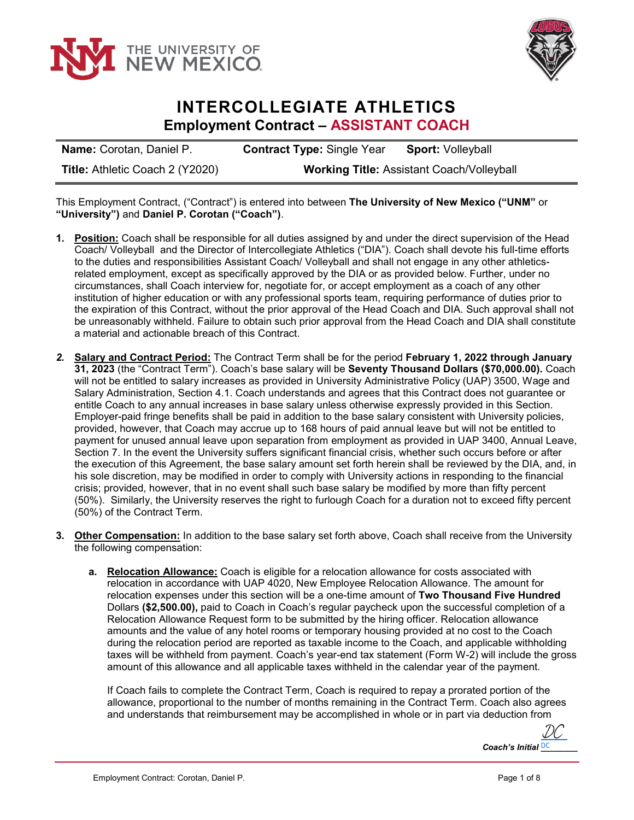



## **INTERCOLLEGIATE ATHLETICS Employment Contract – ASSISTANT COACH**

**Name:** Corotan, Daniel P. **Contract Type:** Single Year **Sport:** Volleyball **Title:** Athletic Coach 2 (Y2020) **Working Title:** Assistant Coach/Volleyball

This Employment Contract, ("Contract") is entered into between **The University of New Mexico ("UNM"** or **"University")** and **Daniel P. Corotan ("Coach")**.

- **1. Position:** Coach shall be responsible for all duties assigned by and under the direct supervision of the Head Coach/ Volleyball and the Director of Intercollegiate Athletics ("DIA"). Coach shall devote his full-time efforts to the duties and responsibilities Assistant Coach/ Volleyball and shall not engage in any other athleticsrelated employment, except as specifically approved by the DIA or as provided below. Further, under no circumstances, shall Coach interview for, negotiate for, or accept employment as a coach of any other institution of higher education or with any professional sports team, requiring performance of duties prior to the expiration of this Contract, without the prior approval of the Head Coach and DIA. Such approval shall not be unreasonably withheld. Failure to obtain such prior approval from the Head Coach and DIA shall constitute a material and actionable breach of this Contract.
- *2.* **Salary and Contract Period:** The Contract Term shall be for the period **February 1, 2022 through January 31, 2023** (the "Contract Term"). Coach's base salary will be **Seventy Thousand Dollars (\$70,000.00).** Coach will not be entitled to salary increases as provided in University Administrative Policy (UAP) 3500, Wage and Salary Administration, Section 4.1. Coach understands and agrees that this Contract does not guarantee or entitle Coach to any annual increases in base salary unless otherwise expressly provided in this Section. Employer-paid fringe benefits shall be paid in addition to the base salary consistent with University policies, provided, however, that Coach may accrue up to 168 hours of paid annual leave but will not be entitled to payment for unused annual leave upon separation from employment as provided in UAP 3400, Annual Leave, Section 7. In the event the University suffers significant financial crisis, whether such occurs before or after the execution of this Agreement, the base salary amount set forth herein shall be reviewed by the DIA, and, in his sole discretion, may be modified in order to comply with University actions in responding to the financial crisis; provided, however, that in no event shall such base salary be modified by more than fifty percent (50%). Similarly, the University reserves the right to furlough Coach for a duration not to exceed fifty percent (50%) of the Contract Term.
- **3. Other Compensation:** In addition to the base salary set forth above, Coach shall receive from the University the following compensation:
	- **a. Relocation Allowance:** Coach is eligible for a relocation allowance for costs associated with relocation in accordance with UAP 4020, New Employee Relocation Allowance. The amount for relocation expenses under this section will be a one-time amount of **Two Thousand Five Hundred** Dollars **(\$2,500.00),** paid to Coach in Coach's regular paycheck upon the successful completion of a Relocation Allowance Request form to be submitted by the hiring officer. Relocation allowance amounts and the value of any hotel rooms or temporary housing provided at no cost to the Coach during the relocation period are reported as taxable income to the Coach, and applicable withholding taxes will be withheld from payment. Coach's year-end tax statement (Form W-2) will include the gross amount of this allowance and all applicable taxes withheld in the calendar year of the payment.

If Coach fails to complete the Contract Term, Coach is required to repay a prorated portion of the allowance, proportional to the number of months remaining in the Contract Term. Coach also agrees and understands that reimbursement may be accomplished in whole or in part via deduction from

*Coach's Initial* **DC** [DC](https://secure.na2.echosign.com/verifier?tx=CBJCHBCAABAAcLZ784sqp1Kn_LF5WAs39Xf0Dg25eoC7)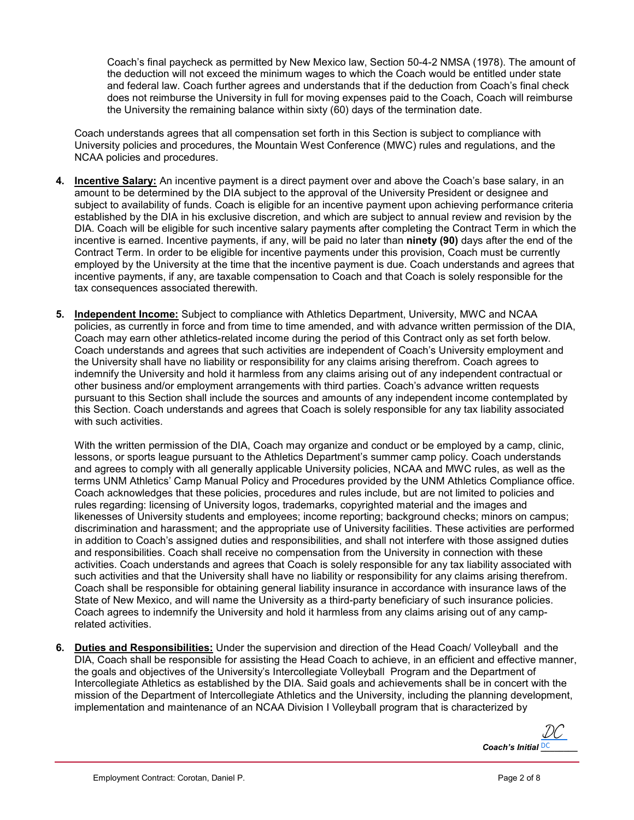Coach's final paycheck as permitted by New Mexico law, Section 50-4-2 NMSA (1978). The amount of the deduction will not exceed the minimum wages to which the Coach would be entitled under state and federal law. Coach further agrees and understands that if the deduction from Coach's final check does not reimburse the University in full for moving expenses paid to the Coach, Coach will reimburse the University the remaining balance within sixty (60) days of the termination date.

Coach understands agrees that all compensation set forth in this Section is subject to compliance with University policies and procedures, the Mountain West Conference (MWC) rules and regulations, and the NCAA policies and procedures.

- **4. Incentive Salary:** An incentive payment is a direct payment over and above the Coach's base salary, in an amount to be determined by the DIA subject to the approval of the University President or designee and subject to availability of funds. Coach is eligible for an incentive payment upon achieving performance criteria established by the DIA in his exclusive discretion, and which are subject to annual review and revision by the DIA. Coach will be eligible for such incentive salary payments after completing the Contract Term in which the incentive is earned. Incentive payments, if any, will be paid no later than **ninety (90)** days after the end of the Contract Term. In order to be eligible for incentive payments under this provision, Coach must be currently employed by the University at the time that the incentive payment is due. Coach understands and agrees that incentive payments, if any, are taxable compensation to Coach and that Coach is solely responsible for the tax consequences associated therewith.
- **5. Independent Income:** Subject to compliance with Athletics Department, University, MWC and NCAA policies, as currently in force and from time to time amended, and with advance written permission of the DIA, Coach may earn other athletics-related income during the period of this Contract only as set forth below. Coach understands and agrees that such activities are independent of Coach's University employment and the University shall have no liability or responsibility for any claims arising therefrom. Coach agrees to indemnify the University and hold it harmless from any claims arising out of any independent contractual or other business and/or employment arrangements with third parties. Coach's advance written requests pursuant to this Section shall include the sources and amounts of any independent income contemplated by this Section. Coach understands and agrees that Coach is solely responsible for any tax liability associated with such activities.

With the written permission of the DIA, Coach may organize and conduct or be employed by a camp, clinic, lessons, or sports league pursuant to the Athletics Department's summer camp policy. Coach understands and agrees to comply with all generally applicable University policies, NCAA and MWC rules, as well as the terms UNM Athletics' Camp Manual Policy and Procedures provided by the UNM Athletics Compliance office. Coach acknowledges that these policies, procedures and rules include, but are not limited to policies and rules regarding: licensing of University logos, trademarks, copyrighted material and the images and likenesses of University students and employees; income reporting; background checks; minors on campus; discrimination and harassment; and the appropriate use of University facilities. These activities are performed in addition to Coach's assigned duties and responsibilities, and shall not interfere with those assigned duties and responsibilities. Coach shall receive no compensation from the University in connection with these activities. Coach understands and agrees that Coach is solely responsible for any tax liability associated with such activities and that the University shall have no liability or responsibility for any claims arising therefrom. Coach shall be responsible for obtaining general liability insurance in accordance with insurance laws of the State of New Mexico, and will name the University as a third-party beneficiary of such insurance policies. Coach agrees to indemnify the University and hold it harmless from any claims arising out of any camprelated activities.

**6. Duties and Responsibilities:** Under the supervision and direction of the Head Coach/ Volleyball and the DIA, Coach shall be responsible for assisting the Head Coach to achieve, in an efficient and effective manner, the goals and objectives of the University's Intercollegiate Volleyball Program and the Department of Intercollegiate Athletics as established by the DIA. Said goals and achievements shall be in concert with the mission of the Department of Intercollegiate Athletics and the University, including the planning development, implementation and maintenance of an NCAA Division I Volleyball program that is characterized by

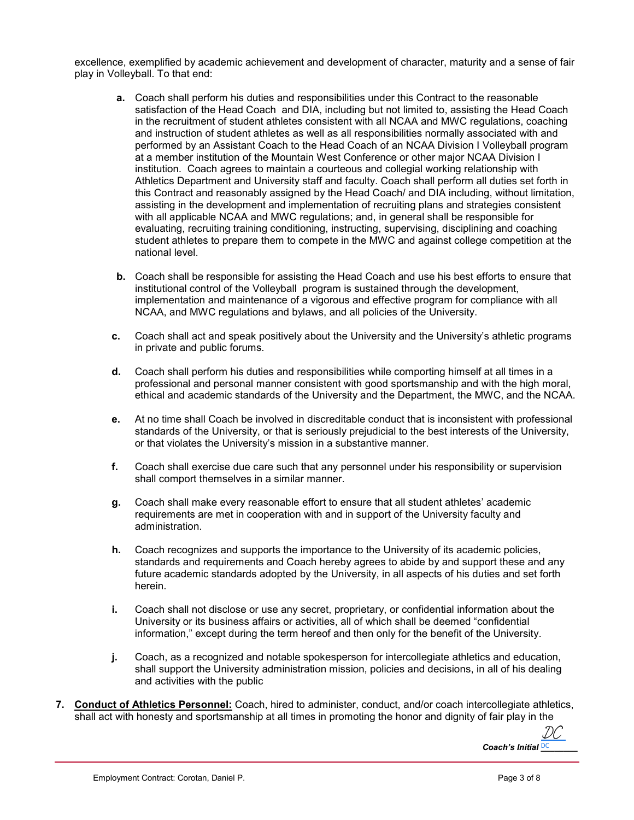excellence, exemplified by academic achievement and development of character, maturity and a sense of fair play in Volleyball. To that end:

- **a.** Coach shall perform his duties and responsibilities under this Contract to the reasonable satisfaction of the Head Coach and DIA, including but not limited to, assisting the Head Coach in the recruitment of student athletes consistent with all NCAA and MWC regulations, coaching and instruction of student athletes as well as all responsibilities normally associated with and performed by an Assistant Coach to the Head Coach of an NCAA Division I Volleyball program at a member institution of the Mountain West Conference or other major NCAA Division I institution. Coach agrees to maintain a courteous and collegial working relationship with Athletics Department and University staff and faculty. Coach shall perform all duties set forth in this Contract and reasonably assigned by the Head Coach/ and DIA including, without limitation, assisting in the development and implementation of recruiting plans and strategies consistent with all applicable NCAA and MWC regulations; and, in general shall be responsible for evaluating, recruiting training conditioning, instructing, supervising, disciplining and coaching student athletes to prepare them to compete in the MWC and against college competition at the national level.
- **b.** Coach shall be responsible for assisting the Head Coach and use his best efforts to ensure that institutional control of the Volleyball program is sustained through the development, implementation and maintenance of a vigorous and effective program for compliance with all NCAA, and MWC regulations and bylaws, and all policies of the University.
- **c.** Coach shall act and speak positively about the University and the University's athletic programs in private and public forums.
- **d.** Coach shall perform his duties and responsibilities while comporting himself at all times in a professional and personal manner consistent with good sportsmanship and with the high moral, ethical and academic standards of the University and the Department, the MWC, and the NCAA.
- **e.** At no time shall Coach be involved in discreditable conduct that is inconsistent with professional standards of the University, or that is seriously prejudicial to the best interests of the University, or that violates the University's mission in a substantive manner.
- **f.** Coach shall exercise due care such that any personnel under his responsibility or supervision shall comport themselves in a similar manner.
- **g.** Coach shall make every reasonable effort to ensure that all student athletes' academic requirements are met in cooperation with and in support of the University faculty and administration.
- **h.** Coach recognizes and supports the importance to the University of its academic policies, standards and requirements and Coach hereby agrees to abide by and support these and any future academic standards adopted by the University, in all aspects of his duties and set forth herein.
- **i.** Coach shall not disclose or use any secret, proprietary, or confidential information about the University or its business affairs or activities, all of which shall be deemed "confidential information," except during the term hereof and then only for the benefit of the University.
- **j.** Coach, as a recognized and notable spokesperson for intercollegiate athletics and education, shall support the University administration mission, policies and decisions, in all of his dealing and activities with the public
- **7. Conduct of Athletics Personnel:** Coach, hired to administer, conduct, and/or coach intercollegiate athletics, shall act with honesty and sportsmanship at all times in promoting the honor and dignity of fair play in the

Coach's Initial **DC** [DC](https://secure.na2.echosign.com/verifier?tx=CBJCHBCAABAAcLZ784sqp1Kn_LF5WAs39Xf0Dg25eoC7)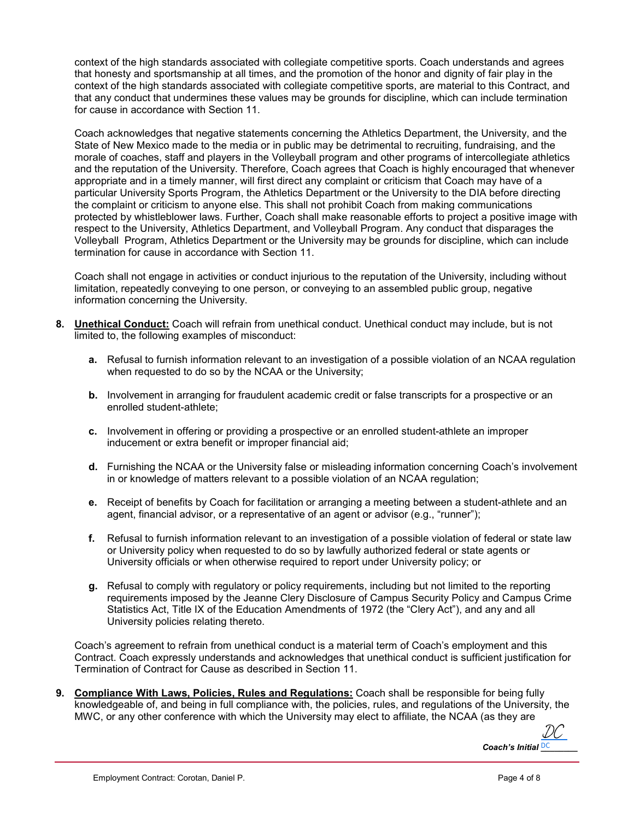context of the high standards associated with collegiate competitive sports. Coach understands and agrees that honesty and sportsmanship at all times, and the promotion of the honor and dignity of fair play in the context of the high standards associated with collegiate competitive sports, are material to this Contract, and that any conduct that undermines these values may be grounds for discipline, which can include termination for cause in accordance with Section 11.

Coach acknowledges that negative statements concerning the Athletics Department, the University, and the State of New Mexico made to the media or in public may be detrimental to recruiting, fundraising, and the morale of coaches, staff and players in the Volleyball program and other programs of intercollegiate athletics and the reputation of the University. Therefore, Coach agrees that Coach is highly encouraged that whenever appropriate and in a timely manner, will first direct any complaint or criticism that Coach may have of a particular University Sports Program, the Athletics Department or the University to the DIA before directing the complaint or criticism to anyone else. This shall not prohibit Coach from making communications protected by whistleblower laws. Further, Coach shall make reasonable efforts to project a positive image with respect to the University, Athletics Department, and Volleyball Program. Any conduct that disparages the Volleyball Program, Athletics Department or the University may be grounds for discipline, which can include termination for cause in accordance with Section 11.

Coach shall not engage in activities or conduct injurious to the reputation of the University, including without limitation, repeatedly conveying to one person, or conveying to an assembled public group, negative information concerning the University.

- **8. Unethical Conduct:** Coach will refrain from unethical conduct. Unethical conduct may include, but is not limited to, the following examples of misconduct:
	- **a.** Refusal to furnish information relevant to an investigation of a possible violation of an NCAA regulation when requested to do so by the NCAA or the University;
	- **b.** Involvement in arranging for fraudulent academic credit or false transcripts for a prospective or an enrolled student-athlete;
	- **c.** Involvement in offering or providing a prospective or an enrolled student-athlete an improper inducement or extra benefit or improper financial aid;
	- **d.** Furnishing the NCAA or the University false or misleading information concerning Coach's involvement in or knowledge of matters relevant to a possible violation of an NCAA regulation;
	- **e.** Receipt of benefits by Coach for facilitation or arranging a meeting between a student-athlete and an agent, financial advisor, or a representative of an agent or advisor (e.g., "runner");
	- **f.** Refusal to furnish information relevant to an investigation of a possible violation of federal or state law or University policy when requested to do so by lawfully authorized federal or state agents or University officials or when otherwise required to report under University policy; or
	- **g.** Refusal to comply with regulatory or policy requirements, including but not limited to the reporting requirements imposed by the Jeanne Clery Disclosure of Campus Security Policy and Campus Crime Statistics Act, Title IX of the Education Amendments of 1972 (the "Clery Act"), and any and all University policies relating thereto.

Coach's agreement to refrain from unethical conduct is a material term of Coach's employment and this Contract. Coach expressly understands and acknowledges that unethical conduct is sufficient justification for Termination of Contract for Cause as described in Section 11.

**9. Compliance With Laws, Policies, Rules and Regulations:** Coach shall be responsible for being fully knowledgeable of, and being in full compliance with, the policies, rules, and regulations of the University, the MWC, or any other conference with which the University may elect to affiliate, the NCAA (as they are

*Coach's Initial* **DC** [DC](https://secure.na2.echosign.com/verifier?tx=CBJCHBCAABAAcLZ784sqp1Kn_LF5WAs39Xf0Dg25eoC7)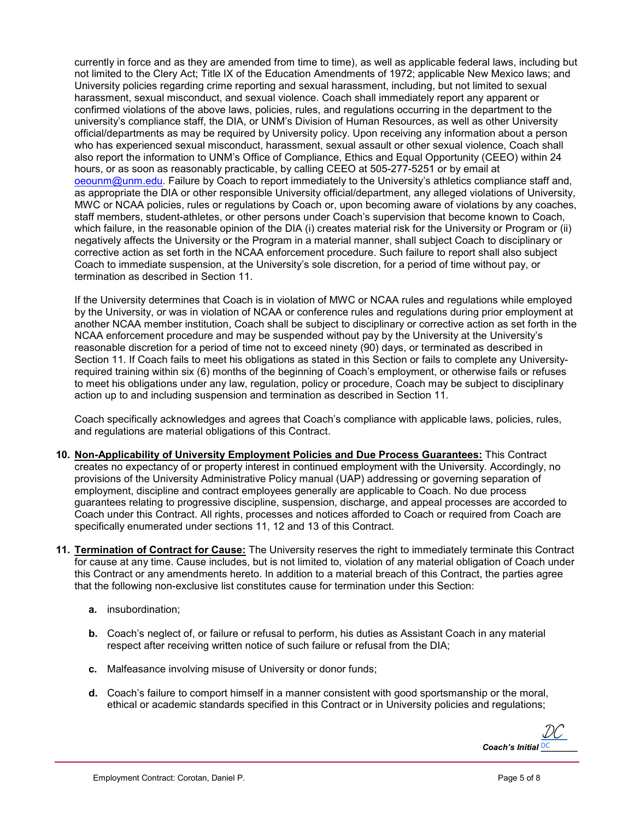currently in force and as they are amended from time to time), as well as applicable federal laws, including but not limited to the Clery Act; Title IX of the Education Amendments of 1972; applicable New Mexico laws; and University policies regarding crime reporting and sexual harassment, including, but not limited to sexual harassment, sexual misconduct, and sexual violence. Coach shall immediately report any apparent or confirmed violations of the above laws, policies, rules, and regulations occurring in the department to the university's compliance staff, the DIA, or UNM's Division of Human Resources, as well as other University official/departments as may be required by University policy. Upon receiving any information about a person who has experienced sexual misconduct, harassment, sexual assault or other sexual violence, Coach shall also report the information to UNM's Office of Compliance, Ethics and Equal Opportunity (CEEO) within 24 hours, or as soon as reasonably practicable, by calling CEEO at 505-277-5251 or by email at [oeounm@unm.edu.](mailto:oeounm@unm.edu) Failure by Coach to report immediately to the University's athletics compliance staff and, as appropriate the DIA or other responsible University official/department, any alleged violations of University, MWC or NCAA policies, rules or regulations by Coach or, upon becoming aware of violations by any coaches, staff members, student-athletes, or other persons under Coach's supervision that become known to Coach, which failure, in the reasonable opinion of the DIA (i) creates material risk for the University or Program or (ii) negatively affects the University or the Program in a material manner, shall subject Coach to disciplinary or corrective action as set forth in the NCAA enforcement procedure. Such failure to report shall also subject Coach to immediate suspension, at the University's sole discretion, for a period of time without pay, or termination as described in Section 11.

If the University determines that Coach is in violation of MWC or NCAA rules and regulations while employed by the University, or was in violation of NCAA or conference rules and regulations during prior employment at another NCAA member institution, Coach shall be subject to disciplinary or corrective action as set forth in the NCAA enforcement procedure and may be suspended without pay by the University at the University's reasonable discretion for a period of time not to exceed ninety (90) days, or terminated as described in Section 11. If Coach fails to meet his obligations as stated in this Section or fails to complete any Universityrequired training within six (6) months of the beginning of Coach's employment, or otherwise fails or refuses to meet his obligations under any law, regulation, policy or procedure, Coach may be subject to disciplinary action up to and including suspension and termination as described in Section 11.

Coach specifically acknowledges and agrees that Coach's compliance with applicable laws, policies, rules, and regulations are material obligations of this Contract.

- **10. Non-Applicability of University Employment Policies and Due Process Guarantees:** This Contract creates no expectancy of or property interest in continued employment with the University. Accordingly, no provisions of the University Administrative Policy manual (UAP) addressing or governing separation of employment, discipline and contract employees generally are applicable to Coach. No due process guarantees relating to progressive discipline, suspension, discharge, and appeal processes are accorded to Coach under this Contract. All rights, processes and notices afforded to Coach or required from Coach are specifically enumerated under sections 11, 12 and 13 of this Contract.
- **11. Termination of Contract for Cause:** The University reserves the right to immediately terminate this Contract for cause at any time. Cause includes, but is not limited to, violation of any material obligation of Coach under this Contract or any amendments hereto. In addition to a material breach of this Contract, the parties agree that the following non-exclusive list constitutes cause for termination under this Section:
	- **a.** insubordination;
	- **b.** Coach's neglect of, or failure or refusal to perform, his duties as Assistant Coach in any material respect after receiving written notice of such failure or refusal from the DIA;
	- **c.** Malfeasance involving misuse of University or donor funds;
	- **d.** Coach's failure to comport himself in a manner consistent with good sportsmanship or the moral, ethical or academic standards specified in this Contract or in University policies and regulations;

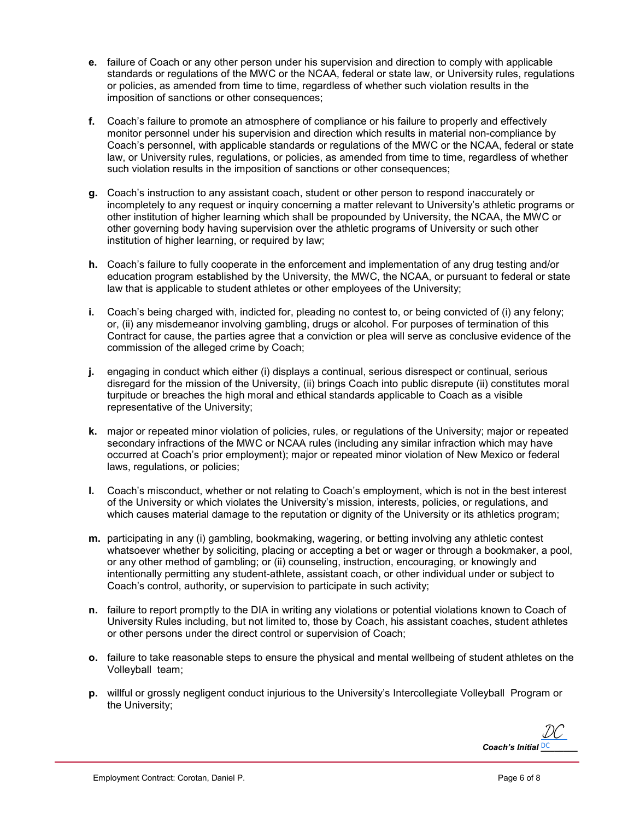- **e.** failure of Coach or any other person under his supervision and direction to comply with applicable standards or regulations of the MWC or the NCAA, federal or state law, or University rules, regulations or policies, as amended from time to time, regardless of whether such violation results in the imposition of sanctions or other consequences;
- **f.** Coach's failure to promote an atmosphere of compliance or his failure to properly and effectively monitor personnel under his supervision and direction which results in material non-compliance by Coach's personnel, with applicable standards or regulations of the MWC or the NCAA, federal or state law, or University rules, regulations, or policies, as amended from time to time, regardless of whether such violation results in the imposition of sanctions or other consequences;
- **g.** Coach's instruction to any assistant coach, student or other person to respond inaccurately or incompletely to any request or inquiry concerning a matter relevant to University's athletic programs or other institution of higher learning which shall be propounded by University, the NCAA, the MWC or other governing body having supervision over the athletic programs of University or such other institution of higher learning, or required by law;
- **h.** Coach's failure to fully cooperate in the enforcement and implementation of any drug testing and/or education program established by the University, the MWC, the NCAA, or pursuant to federal or state law that is applicable to student athletes or other employees of the University;
- **i.** Coach's being charged with, indicted for, pleading no contest to, or being convicted of (i) any felony; or, (ii) any misdemeanor involving gambling, drugs or alcohol. For purposes of termination of this Contract for cause, the parties agree that a conviction or plea will serve as conclusive evidence of the commission of the alleged crime by Coach;
- **j.** engaging in conduct which either (i) displays a continual, serious disrespect or continual, serious disregard for the mission of the University, (ii) brings Coach into public disrepute (ii) constitutes moral turpitude or breaches the high moral and ethical standards applicable to Coach as a visible representative of the University;
- **k.** major or repeated minor violation of policies, rules, or regulations of the University; major or repeated secondary infractions of the MWC or NCAA rules (including any similar infraction which may have occurred at Coach's prior employment); major or repeated minor violation of New Mexico or federal laws, regulations, or policies;
- **l.** Coach's misconduct, whether or not relating to Coach's employment, which is not in the best interest of the University or which violates the University's mission, interests, policies, or regulations, and which causes material damage to the reputation or dignity of the University or its athletics program;
- **m.** participating in any (i) gambling, bookmaking, wagering, or betting involving any athletic contest whatsoever whether by soliciting, placing or accepting a bet or wager or through a bookmaker, a pool, or any other method of gambling; or (ii) counseling, instruction, encouraging, or knowingly and intentionally permitting any student-athlete, assistant coach, or other individual under or subject to Coach's control, authority, or supervision to participate in such activity;
- **n.** failure to report promptly to the DIA in writing any violations or potential violations known to Coach of University Rules including, but not limited to, those by Coach, his assistant coaches, student athletes or other persons under the direct control or supervision of Coach;
- **o.** failure to take reasonable steps to ensure the physical and mental wellbeing of student athletes on the Volleyball team;
- **p.** willful or grossly negligent conduct injurious to the University's Intercollegiate Volleyball Program or the University;

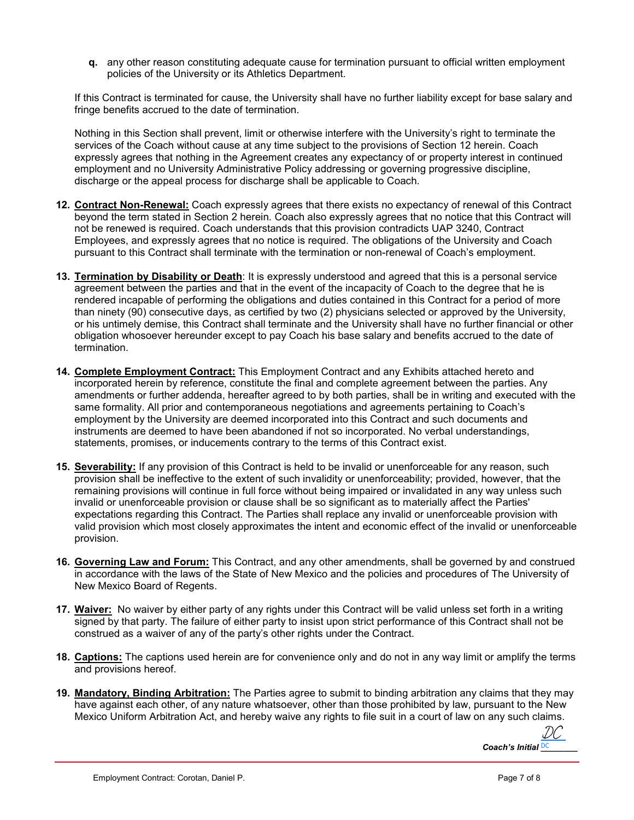**q.** any other reason constituting adequate cause for termination pursuant to official written employment policies of the University or its Athletics Department.

If this Contract is terminated for cause, the University shall have no further liability except for base salary and fringe benefits accrued to the date of termination.

Nothing in this Section shall prevent, limit or otherwise interfere with the University's right to terminate the services of the Coach without cause at any time subject to the provisions of Section 12 herein. Coach expressly agrees that nothing in the Agreement creates any expectancy of or property interest in continued employment and no University Administrative Policy addressing or governing progressive discipline, discharge or the appeal process for discharge shall be applicable to Coach.

- **12. Contract Non-Renewal:** Coach expressly agrees that there exists no expectancy of renewal of this Contract beyond the term stated in Section 2 herein. Coach also expressly agrees that no notice that this Contract will not be renewed is required. Coach understands that this provision contradicts UAP 3240, Contract Employees, and expressly agrees that no notice is required. The obligations of the University and Coach pursuant to this Contract shall terminate with the termination or non-renewal of Coach's employment.
- **13. Termination by Disability or Death**: It is expressly understood and agreed that this is a personal service agreement between the parties and that in the event of the incapacity of Coach to the degree that he is rendered incapable of performing the obligations and duties contained in this Contract for a period of more than ninety (90) consecutive days, as certified by two (2) physicians selected or approved by the University, or his untimely demise, this Contract shall terminate and the University shall have no further financial or other obligation whosoever hereunder except to pay Coach his base salary and benefits accrued to the date of termination.
- **14. Complete Employment Contract:** This Employment Contract and any Exhibits attached hereto and incorporated herein by reference, constitute the final and complete agreement between the parties. Any amendments or further addenda, hereafter agreed to by both parties, shall be in writing and executed with the same formality. All prior and contemporaneous negotiations and agreements pertaining to Coach's employment by the University are deemed incorporated into this Contract and such documents and instruments are deemed to have been abandoned if not so incorporated. No verbal understandings, statements, promises, or inducements contrary to the terms of this Contract exist.
- **15. Severability:** If any provision of this Contract is held to be invalid or unenforceable for any reason, such provision shall be ineffective to the extent of such invalidity or unenforceability; provided, however, that the remaining provisions will continue in full force without being impaired or invalidated in any way unless such invalid or unenforceable provision or clause shall be so significant as to materially affect the Parties' expectations regarding this Contract. The Parties shall replace any invalid or unenforceable provision with valid provision which most closely approximates the intent and economic effect of the invalid or unenforceable provision.
- **16. Governing Law and Forum:** This Contract, and any other amendments, shall be governed by and construed in accordance with the laws of the State of New Mexico and the policies and procedures of The University of New Mexico Board of Regents.
- **17. Waiver:** No waiver by either party of any rights under this Contract will be valid unless set forth in a writing signed by that party. The failure of either party to insist upon strict performance of this Contract shall not be construed as a waiver of any of the party's other rights under the Contract.
- **18. Captions:** The captions used herein are for convenience only and do not in any way limit or amplify the terms and provisions hereof.
- **19. Mandatory, Binding Arbitration:** The Parties agree to submit to binding arbitration any claims that they may have against each other, of any nature whatsoever, other than those prohibited by law, pursuant to the New Mexico Uniform Arbitration Act, and hereby waive any rights to file suit in a court of law on any such claims.

Coach's Initial **DC** [DC](https://secure.na2.echosign.com/verifier?tx=CBJCHBCAABAAcLZ784sqp1Kn_LF5WAs39Xf0Dg25eoC7)